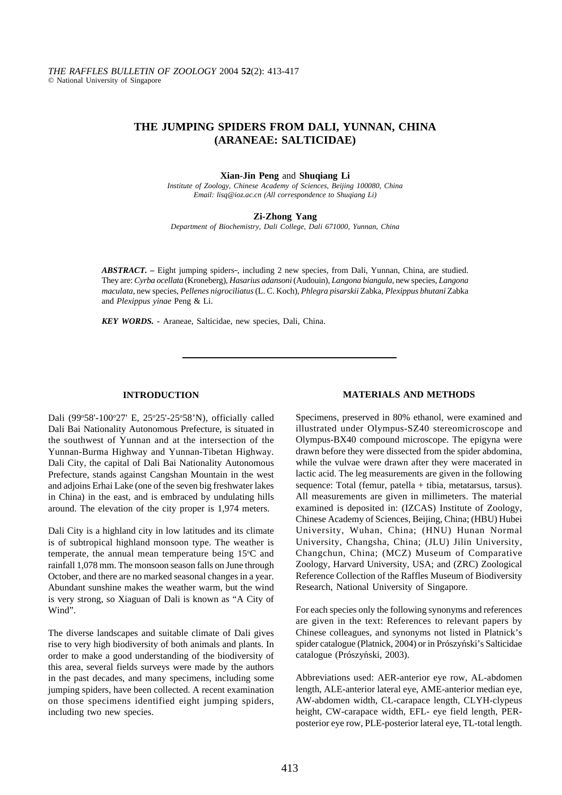# **THE JUMPING SPIDERS FROM DALI, YUNNAN, CHINA (ARANEAE: SALTICIDAE)**

### **Xian-Jin Peng** and **Shuqiang Li**

*Institute of Zoology, Chinese Academy of Sciences, Beijing 100080, China Email: lisq@ioz.ac.cn (All correspondence to Shuqiang Li)*

#### **Zi-Zhong Yang**

*Department of Biochemistry, Dali College, Dali 671000, Yunnan, China*

ABSTRACT. – Eight jumping spiders-, including 2 new species, from Dali, Yunnan, China, are studied. They are: *Cyrba ocellata* (Kroneberg), *Hasarius adansoni* (Audouin), *Langona biangula*, new species, *Langona maculata*, new species, *Pellenes nigrociliatus* (L. C. Koch), *Phlegra pisarskii* Zabka, *Plexippus bhutani* Zabka and *Plexippus yinae* Peng & Li.

*KEY WORDS. -* Araneae, Salticidae, new species, Dali, China.

### **INTRODUCTION**

Dali (99°58'-100°27' E, 25°25'-25°58'N), officially called Dali Bai Nationality Autonomous Prefecture, is situated in the southwest of Yunnan and at the intersection of the Yunnan-Burma Highway and Yunnan-Tibetan Highway. Dali City, the capital of Dali Bai Nationality Autonomous Prefecture, stands against Cangshan Mountain in the west and adjoins Erhai Lake (one of the seven big freshwater lakes in China) in the east, and is embraced by undulating hills around. The elevation of the city proper is 1,974 meters.

Dali City is a highland city in low latitudes and its climate is of subtropical highland monsoon type. The weather is temperate, the annual mean temperature being  $15^{\circ}$ C and rainfall 1,078 mm. The monsoon season falls on June through October, and there are no marked seasonal changes in a year. Abundant sunshine makes the weather warm, but the wind is very strong, so Xiaguan of Dali is known as "A City of Wind".

The diverse landscapes and suitable climate of Dali gives rise to very high biodiversity of both animals and plants. In order to make a good understanding of the biodiversity of this area, several fields surveys were made by the authors in the past decades, and many specimens, including some jumping spiders, have been collected. A recent examination on those specimens identified eight jumping spiders, including two new species.

### **MATERIALS AND METHODS**

Specimens, preserved in 80% ethanol, were examined and illustrated under Olympus-SZ40 stereomicroscope and Olympus-BX40 compound microscope. The epigyna were drawn before they were dissected from the spider abdomina, while the vulvae were drawn after they were macerated in lactic acid. The leg measurements are given in the following sequence: Total (femur, patella + tibia, metatarsus, tarsus). All measurements are given in millimeters. The material examined is deposited in: (IZCAS) Institute of Zoology, Chinese Academy of Sciences, Beijing, China; (HBU) Hubei University, Wuhan, China; (HNU) Hunan Normal University, Changsha, China; (JLU) Jilin University, Changchun, China; (MCZ) Museum of Comparative Zoology, Harvard University, USA; and (ZRC) Zoological Reference Collection of the Raffles Museum of Biodiversity Research, National University of Singapore.

For each species only the following synonyms and references are given in the text: References to relevant papers by Chinese colleagues, and synonyms not listed in Platnick's spider catalogue (Platnick, 2004) or in Prószyński's Salticidae catalogue (Prószyński, 2003).

Abbreviations used: AER-anterior eye row, AL-abdomen length, ALE-anterior lateral eye, AME-anterior median eye, AW-abdomen width, CL-carapace length, CLYH-clypeus height, CW-carapace width, EFL- eye field length, PERposterior eye row, PLE-posterior lateral eye, TL-total length.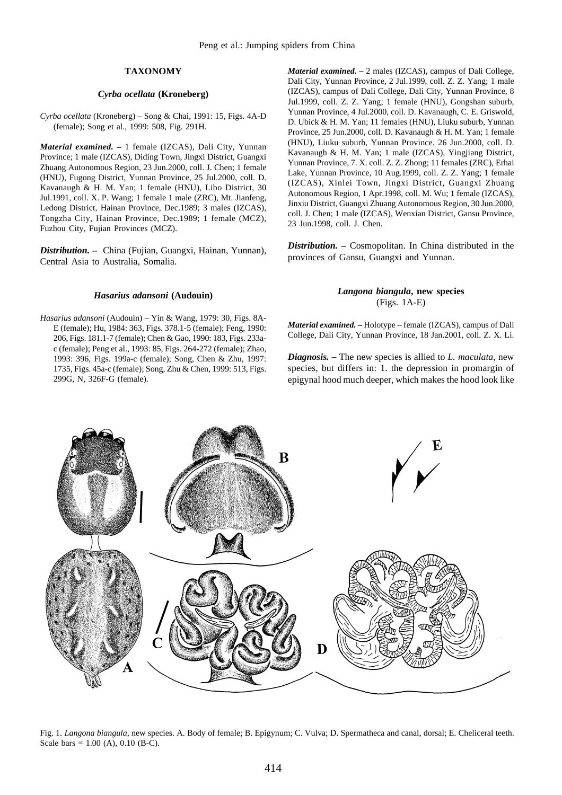# **TAXONOMY**

## *Cyrba ocellata* **(Kroneberg)**

*Cyrba ocellata* (Kroneberg) *–* Song & Chai, 1991: 15, Figs. 4A-D (female); Song et al., 1999: 508, Fig. 291H.

*Material examined.* **–** 1 female (IZCAS), Dali City, Yunnan Province; 1 male (IZCAS), Diding Town, Jingxi District, Guangxi Zhuang Autonomous Region, 23 Jun.2000, coll. J. Chen; 1 female (HNU), Fugong District, Yunnan Province, 25 Jul.2000, coll. D. Kavanaugh & H. M. Yan; 1 female (HNU), Libo District, 30 Jul.1991, coll. X. P. Wang; 1 female 1 male (ZRC), Mt. Jianfeng, Ledong District, Hainan Province, Dec.1989; 3 males (IZCAS), Tongzha City, Hainan Province, Dec.1989; 1 female (MCZ), Fuzhou City, Fujian Provinces (MCZ).

*Distribution. –* China (Fujian, Guangxi, Hainan, Yunnan), Central Asia to Australia, Somalia.

#### *Hasarius adansoni* **(Audouin)**

*Hasarius adansoni* (Audouin) *–* Yin & Wang, 1979: 30, Figs. 8A-E (female); Hu, 1984: 363, Figs. 378.1-5 (female); Feng, 1990: 206, Figs. 181.1-7 (female); Chen & Gao, 1990: 183, Figs. 233ac (female); Peng et al., 1993: 85, Figs. 264-272 (female); Zhao, 1993: 396, Figs. 199a-c (female); Song, Chen & Zhu, 1997: 1735, Figs. 45a-c (female); Song, Zhu & Chen, 1999: 513, Figs. 299G, N, 326F-G (female).

*Material examined.* – 2 males (IZCAS), campus of Dali College, Dali City, Yunnan Province, 2 Jul.1999, coll. Z. Z. Yang; 1 male (IZCAS), campus of Dali College, Dali City, Yunnan Province, 8 Jul.1999, coll. Z. Z. Yang; 1 female (HNU), Gongshan suburb, Yunnan Province, 4 Jul.2000, coll. D. Kavanaugh, C. E. Griswold, D. Ubick & H. M. Yan; 11 females (HNU), Liuku suburb, Yunnan Province, 25 Jun.2000, coll. D. Kavanaugh & H. M. Yan; 1 female (HNU), Liuku suburb, Yunnan Province, 26 Jun.2000, coll. D. Kavanaugh & H. M. Yan; 1 male (IZCAS), Yingjiang District, Yunnan Province, 7. X. coll. Z. Z. Zhong; 11 females (ZRC), Erhai Lake, Yunnan Province, 10 Aug.1999, coll. Z. Z. Yang; 1 female (IZCAS), Xinlei Town, Jingxi District, Guangxi Zhuang Autonomous Region, 1 Apr.1998, coll. M. Wu; 1 female (IZCAS), Jinxiu District, Guangxi Zhuang Autonomous Region, 30 Jun.2000, coll. J. Chen; 1 male (IZCAS), Wenxian District, Gansu Province, 23 Jun.1998, coll. J. Chen.

*Distribution. –* Cosmopolitan. In China distributed in the provinces of Gansu, Guangxi and Yunnan.

# *Langona biangula***, new species** (Figs. 1A-E)

*Material examined.* **–** Holotype *–* female (IZCAS), campus of Dali College, Dali City, Yunnan Province, 18 Jan.2001, coll. Z. X. Li.

*Diagnosis.* **–** The new species is allied to *L. maculata*, new species, but differs in: 1. the depression in promargin of epigynal hood much deeper, which makes the hood look like



Fig. 1. *Langona biangula*, new species. A. Body of female; B. Epigynum; C. Vulva; D. Spermatheca and canal, dorsal; E. Cheliceral teeth. Scale bars =  $1.00$  (A), 0.10 (B-C).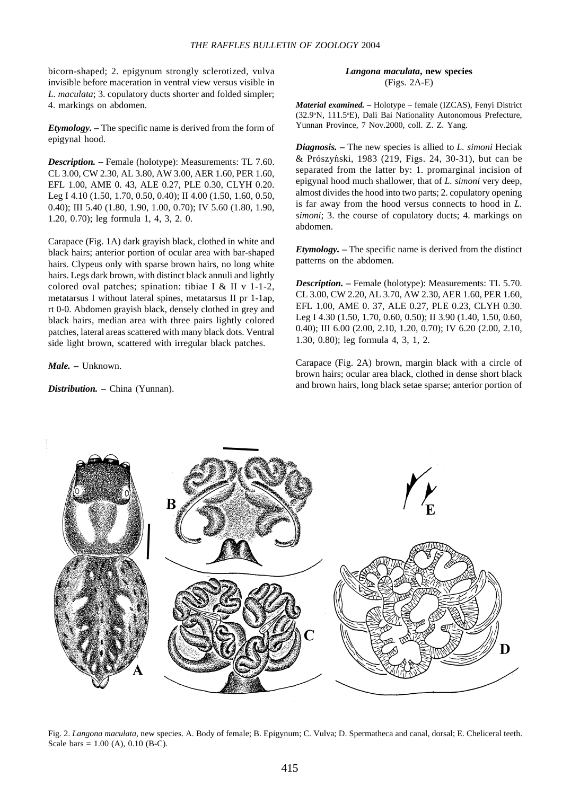bicorn-shaped; 2. epigynum strongly sclerotized, vulva invisible before maceration in ventral view versus visible in *L. maculata*; 3. copulatory ducts shorter and folded simpler; 4. markings on abdomen.

*Etymology.* **–** The specific name is derived from the form of epigynal hood.

*Description.* **–** Female (holotype): Measurements: TL 7.60. CL 3.00, CW 2.30, AL 3.80, AW 3.00, AER 1.60, PER 1.60, EFL 1.00, AME 0. 43, ALE 0.27, PLE 0.30, CLYH 0.20. Leg I 4.10 (1.50, 1.70, 0.50, 0.40); II 4.00 (1.50, 1.60, 0.50, 0.40); III 5.40 (1.80, 1.90, 1.00, 0.70); IV 5.60 (1.80, 1.90, 1.20, 0.70); leg formula 1, 4, 3, 2. 0.

Carapace (Fig. 1A) dark grayish black, clothed in white and black hairs; anterior portion of ocular area with bar-shaped hairs. Clypeus only with sparse brown hairs, no long white hairs. Legs dark brown, with distinct black annuli and lightly colored oval patches; spination: tibiae I & II v 1-1-2, metatarsus I without lateral spines, metatarsus II pr 1-1ap, rt 0-0. Abdomen grayish black, densely clothed in grey and black hairs, median area with three pairs lightly colored patches, lateral areas scattered with many black dots. Ventral side light brown, scattered with irregular black patches.

*Male. –* Unknown.

*Distribution. –* China (Yunnan).

*Langona maculata***, new species** (Figs. 2A-E)

*Material examined. –* Holotype *–* female (IZCAS), Fenyi District (32.9°N, 111.5°E), Dali Bai Nationality Autonomous Prefecture, Yunnan Province, 7 Nov.2000, coll. Z. Z. Yang.

& Prószyński, 1983 (219, Figs. 24, 30-31), but can be *Diagnosis.* **–** The new species is allied to *L. simoni* Heciak separated from the latter by: 1. promarginal incision of epigynal hood much shallower, that of *L. simoni* very deep, almost divides the hood into two parts; 2. copulatory opening is far away from the hood versus connects to hood in *L. simoni*; 3. the course of copulatory ducts; 4. markings on abdomen.

*Etymology.* **–** The specific name is derived from the distinct patterns on the abdomen.

*Description.* **–** Female (holotype): Measurements: TL 5.70. CL 3.00, CW 2.20, AL 3.70, AW 2.30, AER 1.60, PER 1.60, EFL 1.00, AME 0. 37, ALE 0.27, PLE 0.23, CLYH 0.30. Leg I 4.30 (1.50, 1.70, 0.60, 0.50); II 3.90 (1.40, 1.50, 0.60, 0.40); III 6.00 (2.00, 2.10, 1.20, 0.70); IV 6.20 (2.00, 2.10, 1.30, 0.80); leg formula 4, 3, 1, 2.

Carapace (Fig. 2A) brown, margin black with a circle of brown hairs; ocular area black, clothed in dense short black and brown hairs, long black setae sparse; anterior portion of



Fig. 2. *Langona maculata*, new species. A. Body of female; B. Epigynum; C. Vulva; D. Spermatheca and canal, dorsal; E. Cheliceral teeth. Scale bars =  $1.00$  (A),  $0.10$  (B-C).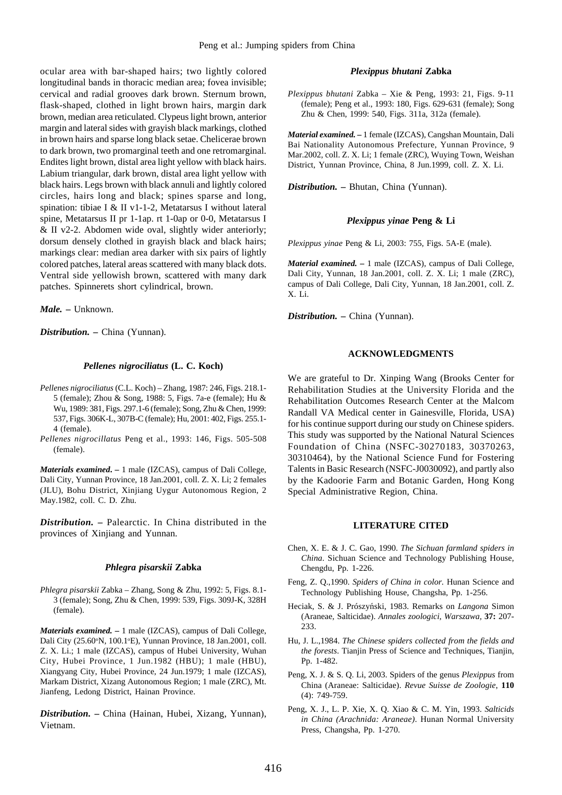ocular area with bar-shaped hairs; two lightly colored longitudinal bands in thoracic median area; fovea invisible; cervical and radial grooves dark brown. Sternum brown, flask-shaped, clothed in light brown hairs, margin dark brown, median area reticulated. Clypeus light brown, anterior margin and lateral sides with grayish black markings, clothed in brown hairs and sparse long black setae. Chelicerae brown to dark brown, two promarginal teeth and one retromarginal. Endites light brown, distal area light yellow with black hairs. Labium triangular, dark brown, distal area light yellow with black hairs. Legs brown with black annuli and lightly colored circles, hairs long and black; spines sparse and long, spination: tibiae I & II v1-1-2, Metatarsus I without lateral spine, Metatarsus II pr 1-1ap. rt 1-0ap or 0-0, Metatarsus I & II v2-2. Abdomen wide oval, slightly wider anteriorly; dorsum densely clothed in grayish black and black hairs; markings clear: median area darker with six pairs of lightly colored patches, lateral areas scattered with many black dots. Ventral side yellowish brown, scattered with many dark patches. Spinnerets short cylindrical, brown.

*Male.* **–** Unknown.

*Distribution.* **–** China (Yunnan).

# *Pellenes nigrociliatus* **(L. C. Koch)**

- *Pellenes nigrociliatus* (C.L. Koch) Zhang, 1987: 246, Figs. 218.1- 5 (female); Zhou & Song, 1988: 5, Figs. 7a-e (female); Hu & Wu, 1989: 381, Figs. 297.1-6 (female); Song, Zhu & Chen, 1999: 537, Figs. 306K-L, 307B-C (female); Hu, 2001: 402, Figs. 255.1- 4 (female).
- *Pellenes nigrocillatus* Peng et al., 1993: 146, Figs. 505-508 (female).

*Materials examined***. –** 1 male (IZCAS), campus of Dali College, Dali City, Yunnan Province, 18 Jan.2001, coll. Z. X. Li; 2 females (JLU), Bohu District, Xinjiang Uygur Autonomous Region, 2 May.1982, coll. C. D. Zhu.

*Distribution.* **–** Palearctic. In China distributed in the provinces of Xinjiang and Yunnan.

# *Phlegra pisarskii* **Zabka**

*Phlegra pisarskii* Zabka *–* Zhang, Song & Zhu, 1992: 5, Figs. 8.1- 3 (female); Song, Zhu & Chen, 1999: 539, Figs. 309J-K, 328H (female).

*Materials examined.* **–** 1 male (IZCAS), campus of Dali College, Dali City (25.60°N, 100.1°E), Yunnan Province, 18 Jan.2001, coll. Z. X. Li.; 1 male (IZCAS), campus of Hubei University, Wuhan City, Hubei Province, 1 Jun.1982 (HBU); 1 male (HBU), Xiangyang City, Hubei Province, 24 Jun.1979; 1 male (IZCAS), Markam District, Xizang Autonomous Region; 1 male (ZRC), Mt. Jianfeng, Ledong District, Hainan Province.

*Distribution.* **–** China (Hainan, Hubei, Xizang, Yunnan), Vietnam.

#### *Plexippus bhutani* **Zabka**

*Plexippus bhutani* Zabka – Xie & Peng, 1993: 21, Figs. 9-11 (female); Peng et al., 1993: 180, Figs. 629-631 (female); Song Zhu & Chen, 1999: 540, Figs. 311a, 312a (female).

*Material examined.* **–** 1 female (IZCAS), Cangshan Mountain, Dali Bai Nationality Autonomous Prefecture, Yunnan Province, 9 Mar.2002, coll. Z. X. Li; 1 female (ZRC), Wuying Town, Weishan District, Yunnan Province, China, 8 Jun.1999, coll. Z. X. Li.

*Distribution.* **–** Bhutan, China (Yunnan).

# *Plexippus yinae* **Peng & Li**

*Plexippus yinae* Peng & Li, 2003: 755, Figs. 5A-E (male).

*Material examined.* **–** 1 male (IZCAS), campus of Dali College, Dali City, Yunnan, 18 Jan.2001, coll. Z. X. Li; 1 male (ZRC), campus of Dali College, Dali City, Yunnan, 18 Jan.2001, coll. Z. X. Li.

*Distribution.* **–** China (Yunnan).

# **ACKNOWLEDGMENTS**

We are grateful to Dr. Xinping Wang (Brooks Center for Rehabilitation Studies at the University Florida and the Rehabilitation Outcomes Research Center at the Malcom Randall VA Medical center in Gainesville, Florida, USA) for his continue support during our study on Chinese spiders. This study was supported by the National Natural Sciences Foundation of China (NSFC-30270183, 30370263, 30310464), by the National Science Fund for Fostering Talents in Basic Research (NSFC-J0030092), and partly also by the Kadoorie Farm and Botanic Garden, Hong Kong Special Administrative Region, China.

# **LITERATURE CITED**

- Chen, X. E. & J. C. Gao, 1990. *The Sichuan farmland spiders in China*. Sichuan Science and Technology Publishing House, Chengdu, Pp. 1-226.
- Feng, Z. Q.,1990. *Spiders of China in color.* Hunan Science and Technology Publishing House, Changsha, Pp. 1-256.
- Heciak, S. & J. Prószyński, 1983. Remarks on *Langona* Simon (Araneae, Salticidae). *Annales zoologici*, *Warszawa,* **37:** 207- 233.
- Hu, J. L.,1984. *The Chinese spiders collected from the fields and the forests*. Tianjin Press of Science and Techniques, Tianjin, Pp. 1-482.
- Peng, X. J. & S. Q. Li, 2003. Spiders of the genus *Plexippus* from China (Araneae: Salticidae). *Revue Suisse de Zoologie*, **110** (4): 749-759.
- Peng, X. J., L. P. Xie, X. Q. Xiao & C. M. Yin, 1993. *Salticids in China (Arachnida: Araneae)*. Hunan Normal University Press, Changsha, Pp. 1-270.